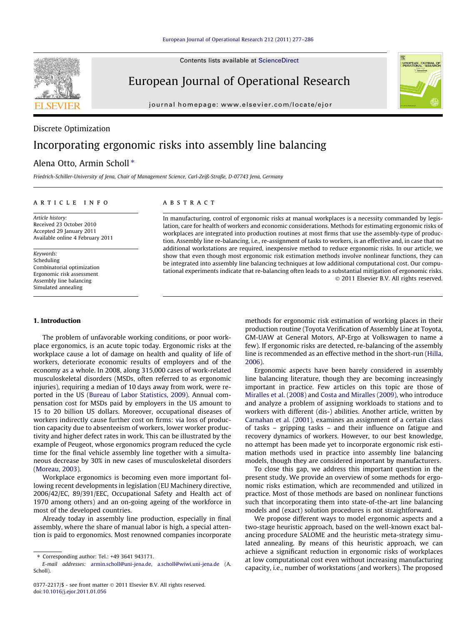Contents lists available at [ScienceDirect](http://www.sciencedirect.com/science/journal/03772217)

### European Journal of Operational Research

journal homepage: [www.elsevier.com/locate/ejor](http://www.elsevier.com/locate/ejor)

# UROPEAN JOURNAL

# Discrete Optimization Incorporating ergonomic risks into assembly line balancing

#### Alena Otto, Armin Scholl<sup>\*</sup>

Friedrich-Schiller-University of Jena, Chair of Management Science, Carl-Zeiß-Straße, D-07743 Jena, Germany

#### article info

Article history: Received 23 October 2010 Accepted 29 January 2011 Available online 4 February 2011

Keywords: Scheduling Combinatorial optimization Ergonomic risk assessment Assembly line balancing Simulated annealing

#### 1. Introduction

The problem of unfavorable working conditions, or poor workplace ergonomics, is an acute topic today. Ergonomic risks at the workplace cause a lot of damage on health and quality of life of workers, deteriorate economic results of employers and of the economy as a whole. In 2008, along 315,000 cases of work-related musculoskeletal disorders (MSDs, often referred to as ergonomic injuries), requiring a median of 10 days away from work, were reported in the US [\(Bureau of Labor Statistics, 2009\)](#page--1-0). Annual compensation cost for MSDs paid by employers in the US amount to 15 to 20 billion US dollars. Moreover, occupational diseases of workers indirectly cause further cost on firms: via loss of production capacity due to absenteeism of workers, lower worker productivity and higher defect rates in work. This can be illustrated by the example of Peugeot, whose ergonomics program reduced the cycle time for the final vehicle assembly line together with a simultaneous decrease by 30% in new cases of musculoskeletal disorders ([Moreau, 2003](#page--1-0)).

Workplace ergonomics is becoming even more important following recent developments in legislation (EU Machinery directive, 2006/42/EC, 89/391/EEC, Occupational Safety and Health act of 1970 among others) and an on-going ageing of the workforce in most of the developed countries.

Already today in assembly line production, especially in final assembly, where the share of manual labor is high, a special attention is paid to ergonomics. Most renowned companies incorporate

#### **ABSTRACT**

In manufacturing, control of ergonomic risks at manual workplaces is a necessity commanded by legislation, care for health of workers and economic considerations. Methods for estimating ergonomic risks of workplaces are integrated into production routines at most firms that use the assembly-type of production. Assembly line re-balancing, i.e., re-assignment of tasks to workers, is an effective and, in case that no additional workstations are required, inexpensive method to reduce ergonomic risks. In our article, we show that even though most ergonomic risk estimation methods involve nonlinear functions, they can be integrated into assembly line balancing techniques at low additional computational cost. Our computational experiments indicate that re-balancing often leads to a substantial mitigation of ergonomic risks. - 2011 Elsevier B.V. All rights reserved.

> methods for ergonomic risk estimation of working places in their production routine (Toyota Verification of Assembly Line at Toyota, GM-UAW at General Motors, AP-Ergo at Volkswagen to name a few). If ergonomic risks are detected, re-balancing of the assembly line is recommended as an effective method in the short-run ([Hilla,](#page--1-0) [2006](#page--1-0)).

> Ergonomic aspects have been barely considered in assembly line balancing literature, though they are becoming increasingly important in practice. Few articles on this topic are those of [Miralles et al. \(2008\)](#page--1-0) and [Costa and Miralles \(2009\),](#page--1-0) who introduce and analyze a problem of assigning workloads to stations and to workers with different (dis-) abilities. Another article, written by [Carnahan et al. \(2001\),](#page--1-0) examines an assignment of a certain class of tasks – gripping tasks – and their influence on fatigue and recovery dynamics of workers. However, to our best knowledge, no attempt has been made yet to incorporate ergonomic risk estimation methods used in practice into assembly line balancing models, though they are considered important by manufacturers.

> To close this gap, we address this important question in the present study. We provide an overview of some methods for ergonomic risks estimation, which are recommended and utilized in practice. Most of those methods are based on nonlinear functions such that incorporating them into state-of-the-art line balancing models and (exact) solution procedures is not straightforward.

> We propose different ways to model ergonomic aspects and a two-stage heuristic approach, based on the well-known exact balancing procedure SALOME and the heuristic meta-strategy simulated annealing. By means of this heuristic approach, we can achieve a significant reduction in ergonomic risks of workplaces at low computational cost even without increasing manufacturing capacity, i.e., number of workstations (and workers). The proposed



<sup>⇑</sup> Corresponding author: Tel.: +49 3641 943171.

E-mail addresses: [armin.scholl@uni-jena.de](mailto:armin.scholl@uni-jena.de), [a.scholl@wiwi.uni-jena.de](mailto:a.scholl@wiwi.uni-jena.de) (A. Scholl).

<sup>0377-2217/\$ -</sup> see front matter © 2011 Elsevier B.V. All rights reserved. doi[:10.1016/j.ejor.2011.01.056](http://dx.doi.org/10.1016/j.ejor.2011.01.056)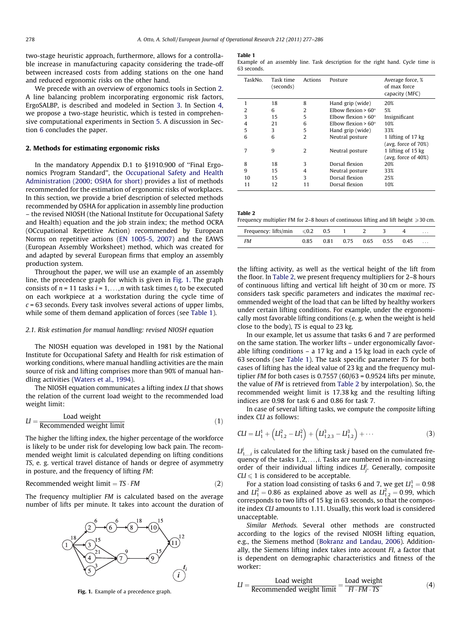two-stage heuristic approach, furthermore, allows for a controllable increase in manufacturing capacity considering the trade-off between increased costs from adding stations on the one hand and reduced ergonomic risks on the other hand.

We precede with an overview of ergonomics tools in Section 2. A line balancing problem incorporating ergonomic risk factors, ErgoSALBP, is described and modeled in Section [3](#page--1-0). In Section [4,](#page--1-0) we propose a two-stage heuristic, which is tested in comprehensive computational experiments in Section [5](#page--1-0). A discussion in Section [6](#page--1-0) concludes the paper.

#### 2. Methods for estimating ergonomic risks

In the mandatory Appendix D.1 to §1910.900 of ''Final Ergonomics Program Standard'', the [Occupational Safety and Health](#page--1-0) [Administration \(2000; OSHA for short\)](#page--1-0) provides a list of methods recommended for the estimation of ergonomic risks of workplaces. In this section, we provide a brief description of selected methods recommended by OSHA for application in assembly line production – the revised NIOSH (the National Institute for Occupational Safety and Health) equation and the job strain index; the method OCRA (OCcupational Repetitive Action) recommended by European Norms on repetitive actions [\(EN 1005-5, 2007\)](#page--1-0) and the EAWS (European Assembly Worksheet) method, which was created for and adapted by several European firms that employ an assembly production system.

Throughout the paper, we will use an example of an assembly line, the precedence graph for which is given in Fig. 1. The graph consists of  $n = 11$  tasks  $i = 1, \ldots, n$  with task times  $t_i$  to be executed on each workpiece at a workstation during the cycle time of  $c = 63$  seconds. Every task involves several actions of upper limbs, while some of them demand application of forces (see Table 1).

#### 2.1. Risk estimation for manual handling: revised NIOSH equation

The NIOSH equation was developed in 1981 by the National Institute for Occupational Safety and Health for risk estimation of working conditions, where manual handling activities are the main source of risk and lifting comprises more than 90% of manual handling activities [\(Waters et al., 1994](#page--1-0)).

The NIOSH equation communicates a lifting index LI that shows the relation of the current load weight to the recommended load weight limit:

$$
LI = \frac{\text{Load weight}}{\text{Recommended weight limit}} \tag{1}
$$

The higher the lifting index, the higher percentage of the workforce is likely to be under risk for developing low back pain. The recommended weight limit is calculated depending on lifting conditions TS, e. g. vertical travel distance of hands or degree of asymmetry in posture, and the frequency of lifting FM:

$$
Recommended weight limit = TS \cdot FM
$$
 (2)

The frequency multiplier FM is calculated based on the average number of lifts per minute. It takes into account the duration of



Fig. 1. Example of a precedence graph.

#### Table 1

Example of an assembly line. Task description for the right hand. Cycle time is 63 seconds.

| TaskNo. | Task time<br>(seconds) | Actions        | Posture                    | Average force, %<br>of max force<br>capacity (MFC) |
|---------|------------------------|----------------|----------------------------|----------------------------------------------------|
| 1       | 18                     | 8              | Hand grip (wide)           | 20%                                                |
| 2       | 6                      | 2              | Elbow flexion $> 60^\circ$ | 5%                                                 |
| 3       | 15                     | 5              | Elbow flexion $> 60^\circ$ | Insignificant                                      |
| 4       | 21                     | 6              | Elbow flexion $> 60^\circ$ | 10%                                                |
| 5       | 3                      | 5              | Hand grip (wide)           | 33%                                                |
| 6       | 6                      | $\overline{2}$ | Neutral posture            | 1 lifting of 17 kg                                 |
|         |                        |                |                            | (avg. force of $70\%)$                             |
| 7       | q                      | $\mathcal{L}$  | Neutral posture            | 1 lifting of 15 kg                                 |
|         |                        |                |                            | (avg. force of $40\%)$                             |
| 8       | 18                     | 3              | Dorsal flexion             | 20%                                                |
| 9       | 15                     | 4              | Neutral posture            | 33%                                                |
| 10      | 15                     | 3              | Dorsal flexion             | 25%                                                |
| 11      | 12                     | 11             | Dorsal flexion             | 10%                                                |
|         |                        |                |                            |                                                    |

| Table 2                                                                                   |  |  |
|-------------------------------------------------------------------------------------------|--|--|
| Frequency multiplier FM for 2–8 hours of continuous lifting and lift height $\geq 30$ cm. |  |  |

| Frequency: lifts/min $\leq 0.2$ 0.5 |      |  |                          | $\cdots$ |
|-------------------------------------|------|--|--------------------------|----------|
| <b>FM</b>                           | 0.85 |  | 0.81 0.75 0.65 0.55 0.45 | $\cdots$ |

the lifting activity, as well as the vertical height of the lift from the floor. In Table 2, we present frequency multipliers for 2–8 hours of continuous lifting and vertical lift height of 30 cm or more. TS considers task specific parameters and indicates the maximal recommended weight of the load that can be lifted by healthy workers under certain lifting conditions. For example, under the ergonomically most favorable lifting conditions (e. g. when the weight is held close to the body), TS is equal to 23 kg.

In our example, let us assume that tasks 6 and 7 are performed on the same station. The worker lifts – under ergonomically favorable lifting conditions – a 17 kg and a 15 kg load in each cycle of 63 seconds (see Table 1). The task specific parameter TS for both cases of lifting has the ideal value of 23 kg and the frequency multiplier FM for both cases is  $0.7557(60/63 = 0.9524$  lifts per minute, the value of FM is retrieved from Table 2 by interpolation). So, the recommended weight limit is 17.38 kg and the resulting lifting indices are 0.98 for task 6 and 0.86 for task 7.

In case of several lifting tasks, we compute the composite lifting index CLI as follows:

$$
CLI = LI11 + \left( LI1,22 - LI12 \right) + \left( LI1,2,33 - LI1,23 \right) + \cdots
$$
 (3)

 $L^{p'}_{1,...,i}$  is calculated for the lifting task j based on the cumulated frequency of the tasks 1,2,...,i. Tasks are numbered in non-increasing order of their individual lifting indices  $L^{p'}_j$ . Generally, composite  $CLI \leq 1$  is considered to be acceptable.

For a station load consisting of tasks 6 and 7, we get  $LI_1^1 = 0.98$ and  $LI_1^2 = 0.86$  as explained above as well as  $LI_{1,2}^2 = 0.99$ , which corresponds to two lifts of 15 kg in 63 seconds, so that the composite index CLI amounts to 1.11. Usually, this work load is considered unacceptable.

Similar Methods. Several other methods are constructed according to the logics of the revised NIOSH lifting equation, e.g., the Siemens method ([Bokranz and Landau, 2006\)](#page--1-0). Additionally, the Siemens lifting index takes into account FI, a factor that is dependent on demographic characteristics and fitness of the worker:

$$
LI = \frac{\text{Load weight}}{\text{Recommended weight limit}} = \frac{\text{Load weight}}{\text{FI} \cdot \text{FM} \cdot \text{TS}} \tag{4}
$$